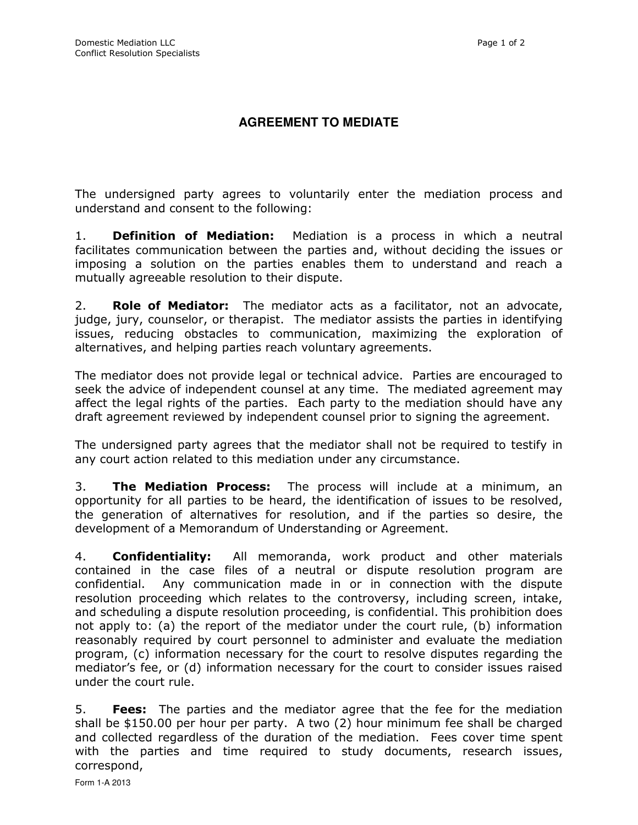## **AGREEMENT TO MEDIATE**

The undersigned party agrees to voluntarily enter the mediation process and understand and consent to the following:

1. **Definition of Mediation:** Mediation is a process in which a neutral facilitates communication between the parties and, without deciding the issues or imposing a solution on the parties enables them to understand and reach a mutually agreeable resolution to their dispute.

2. Role of Mediator: The mediator acts as a facilitator, not an advocate, judge, jury, counselor, or therapist. The mediator assists the parties in identifying issues, reducing obstacles to communication, maximizing the exploration of alternatives, and helping parties reach voluntary agreements.

The mediator does not provide legal or technical advice. Parties are encouraged to seek the advice of independent counsel at any time. The mediated agreement may affect the legal rights of the parties. Each party to the mediation should have any draft agreement reviewed by independent counsel prior to signing the agreement.

The undersigned party agrees that the mediator shall not be required to testify in any court action related to this mediation under any circumstance.

3. The Mediation Process: The process will include at a minimum, an opportunity for all parties to be heard, the identification of issues to be resolved, the generation of alternatives for resolution, and if the parties so desire, the development of a Memorandum of Understanding or Agreement.

4. **Confidentiality:** All memoranda, work product and other materials contained in the case files of a neutral or dispute resolution program are confidential. Any communication made in or in connection with the dispute resolution proceeding which relates to the controversy, including screen, intake, and scheduling a dispute resolution proceeding, is confidential. This prohibition does not apply to: (a) the report of the mediator under the court rule, (b) information reasonably required by court personnel to administer and evaluate the mediation program, (c) information necessary for the court to resolve disputes regarding the mediator's fee, or (d) information necessary for the court to consider issues raised under the court rule.

5. **Fees:** The parties and the mediator agree that the fee for the mediation shall be \$150.00 per hour per party. A two (2) hour minimum fee shall be charged and collected regardless of the duration of the mediation. Fees cover time spent with the parties and time required to study documents, research issues, correspond,